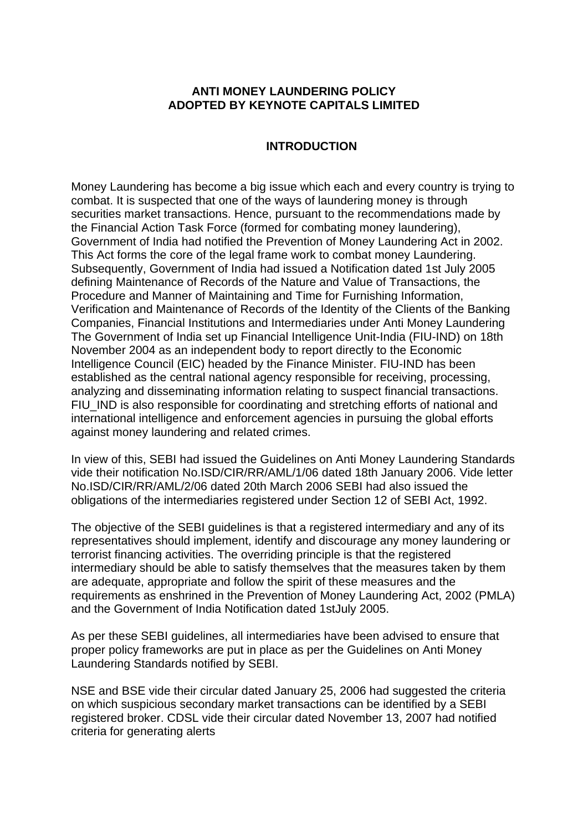# **ANTI MONEY LAUNDERING POLICY ADOPTED BY KEYNOTE CAPITALS LIMITED**

# **INTRODUCTION**

Money Laundering has become a big issue which each and every country is trying to combat. It is suspected that one of the ways of laundering money is through securities market transactions. Hence, pursuant to the recommendations made by the Financial Action Task Force (formed for combating money laundering), Government of India had notified the Prevention of Money Laundering Act in 2002. This Act forms the core of the legal frame work to combat money Laundering. Subsequently, Government of India had issued a Notification dated 1st July 2005 defining Maintenance of Records of the Nature and Value of Transactions, the Procedure and Manner of Maintaining and Time for Furnishing Information, Verification and Maintenance of Records of the Identity of the Clients of the Banking Companies, Financial Institutions and Intermediaries under Anti Money Laundering The Government of India set up Financial Intelligence Unit-India (FIU-IND) on 18th November 2004 as an independent body to report directly to the Economic Intelligence Council (EIC) headed by the Finance Minister. FIU-IND has been established as the central national agency responsible for receiving, processing, analyzing and disseminating information relating to suspect financial transactions. FIU IND is also responsible for coordinating and stretching efforts of national and international intelligence and enforcement agencies in pursuing the global efforts against money laundering and related crimes.

In view of this, SEBI had issued the Guidelines on Anti Money Laundering Standards vide their notification No.ISD/CIR/RR/AML/1/06 dated 18th January 2006. Vide letter No.ISD/CIR/RR/AML/2/06 dated 20th March 2006 SEBI had also issued the obligations of the intermediaries registered under Section 12 of SEBI Act, 1992.

The objective of the SEBI guidelines is that a registered intermediary and any of its representatives should implement, identify and discourage any money laundering or terrorist financing activities. The overriding principle is that the registered intermediary should be able to satisfy themselves that the measures taken by them are adequate, appropriate and follow the spirit of these measures and the requirements as enshrined in the Prevention of Money Laundering Act, 2002 (PMLA) and the Government of India Notification dated 1stJuly 2005.

As per these SEBI guidelines, all intermediaries have been advised to ensure that proper policy frameworks are put in place as per the Guidelines on Anti Money Laundering Standards notified by SEBI.

NSE and BSE vide their circular dated January 25, 2006 had suggested the criteria on which suspicious secondary market transactions can be identified by a SEBI registered broker. CDSL vide their circular dated November 13, 2007 had notified criteria for generating alerts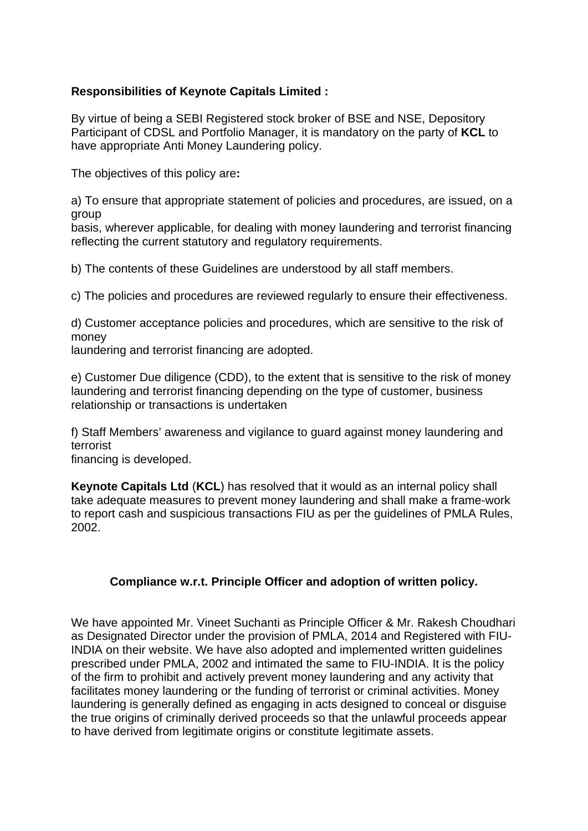# **Responsibilities of Keynote Capitals Limited :**

By virtue of being a SEBI Registered stock broker of BSE and NSE, Depository Participant of CDSL and Portfolio Manager, it is mandatory on the party of **KCL** to have appropriate Anti Money Laundering policy.

The objectives of this policy are**:**

a) To ensure that appropriate statement of policies and procedures, are issued, on a group

basis, wherever applicable, for dealing with money laundering and terrorist financing reflecting the current statutory and regulatory requirements.

b) The contents of these Guidelines are understood by all staff members.

c) The policies and procedures are reviewed regularly to ensure their effectiveness.

d) Customer acceptance policies and procedures, which are sensitive to the risk of money

laundering and terrorist financing are adopted.

e) Customer Due diligence (CDD), to the extent that is sensitive to the risk of money laundering and terrorist financing depending on the type of customer, business relationship or transactions is undertaken

f) Staff Members' awareness and vigilance to guard against money laundering and terrorist

financing is developed.

**Keynote Capitals Ltd** (**KCL**) has resolved that it would as an internal policy shall take adequate measures to prevent money laundering and shall make a frame-work to report cash and suspicious transactions FIU as per the guidelines of PMLA Rules, 2002.

# **Compliance w.r.t. Principle Officer and adoption of written policy.**

We have appointed Mr. Vineet Suchanti as Principle Officer & Mr. Rakesh Choudhari as Designated Director under the provision of PMLA, 2014 and Registered with FIU-INDIA on their website. We have also adopted and implemented written guidelines prescribed under PMLA, 2002 and intimated the same to FIU-INDIA. It is the policy of the firm to prohibit and actively prevent money laundering and any activity that facilitates money laundering or the funding of terrorist or criminal activities. Money laundering is generally defined as engaging in acts designed to conceal or disguise the true origins of criminally derived proceeds so that the unlawful proceeds appear to have derived from legitimate origins or constitute legitimate assets.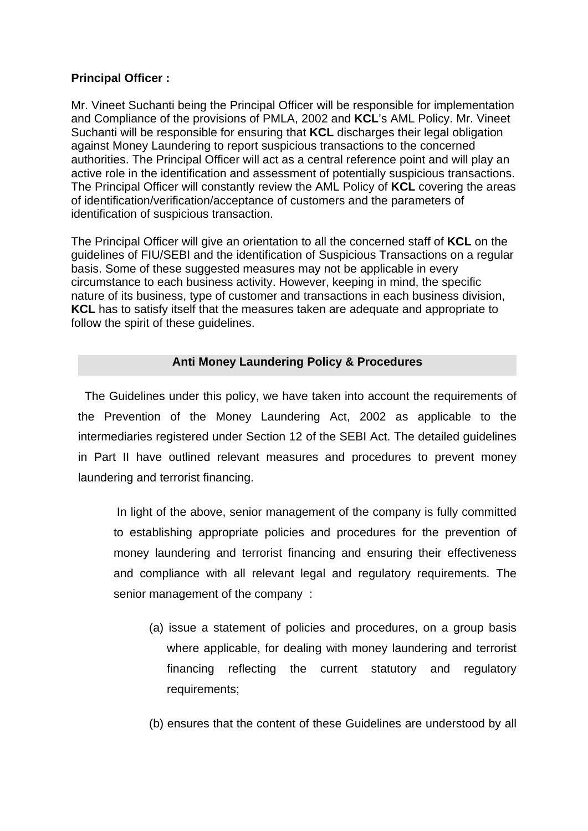# **Principal Officer :**

Mr. Vineet Suchanti being the Principal Officer will be responsible for implementation and Compliance of the provisions of PMLA, 2002 and **KCL**'s AML Policy. Mr. Vineet Suchanti will be responsible for ensuring that **KCL** discharges their legal obligation against Money Laundering to report suspicious transactions to the concerned authorities. The Principal Officer will act as a central reference point and will play an active role in the identification and assessment of potentially suspicious transactions. The Principal Officer will constantly review the AML Policy of **KCL** covering the areas of identification/verification/acceptance of customers and the parameters of identification of suspicious transaction.

The Principal Officer will give an orientation to all the concerned staff of **KCL** on the guidelines of FIU/SEBI and the identification of Suspicious Transactions on a regular basis. Some of these suggested measures may not be applicable in every circumstance to each business activity. However, keeping in mind, the specific nature of its business, type of customer and transactions in each business division, **KCL** has to satisfy itself that the measures taken are adequate and appropriate to follow the spirit of these guidelines.

# **Anti Money Laundering Policy & Procedures**

 The Guidelines under this policy, we have taken into account the requirements of the Prevention of the Money Laundering Act, 2002 as applicable to the intermediaries registered under Section 12 of the SEBI Act. The detailed guidelines in Part II have outlined relevant measures and procedures to prevent money laundering and terrorist financing.

 In light of the above, senior management of the company is fully committed to establishing appropriate policies and procedures for the prevention of money laundering and terrorist financing and ensuring their effectiveness and compliance with all relevant legal and regulatory requirements. The senior management of the company :

- (a) issue a statement of policies and procedures, on a group basis where applicable, for dealing with money laundering and terrorist financing reflecting the current statutory and regulatory requirements;
- (b) ensures that the content of these Guidelines are understood by all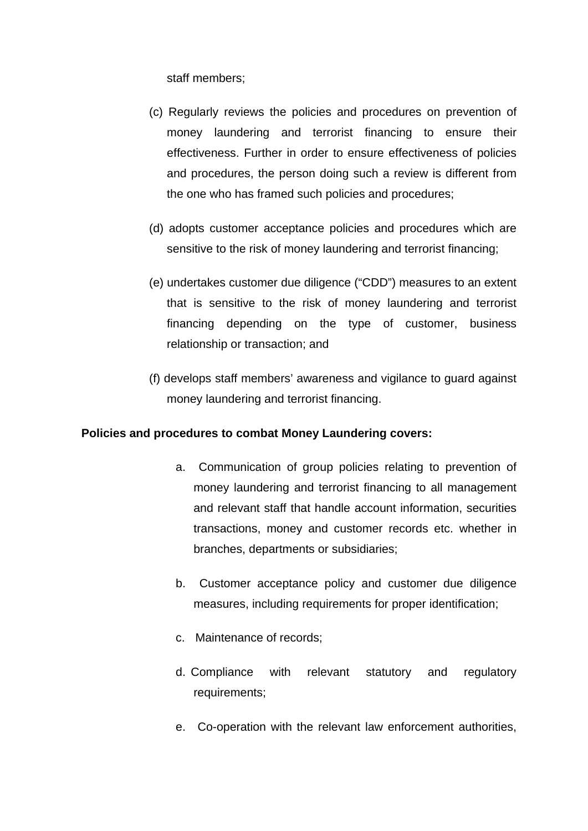staff members;

- (c) Regularly reviews the policies and procedures on prevention of money laundering and terrorist financing to ensure their effectiveness. Further in order to ensure effectiveness of policies and procedures, the person doing such a review is different from the one who has framed such policies and procedures;
- (d) adopts customer acceptance policies and procedures which are sensitive to the risk of money laundering and terrorist financing;
- (e) undertakes customer due diligence ("CDD") measures to an extent that is sensitive to the risk of money laundering and terrorist financing depending on the type of customer, business relationship or transaction; and
- (f) develops staff members' awareness and vigilance to guard against money laundering and terrorist financing.

# **Policies and procedures to combat Money Laundering covers:**

- a. Communication of group policies relating to prevention of money laundering and terrorist financing to all management and relevant staff that handle account information, securities transactions, money and customer records etc. whether in branches, departments or subsidiaries;
- b. Customer acceptance policy and customer due diligence measures, including requirements for proper identification;
- c. Maintenance of records;
- d. Compliance with relevant statutory and regulatory requirements;
- e. Co-operation with the relevant law enforcement authorities,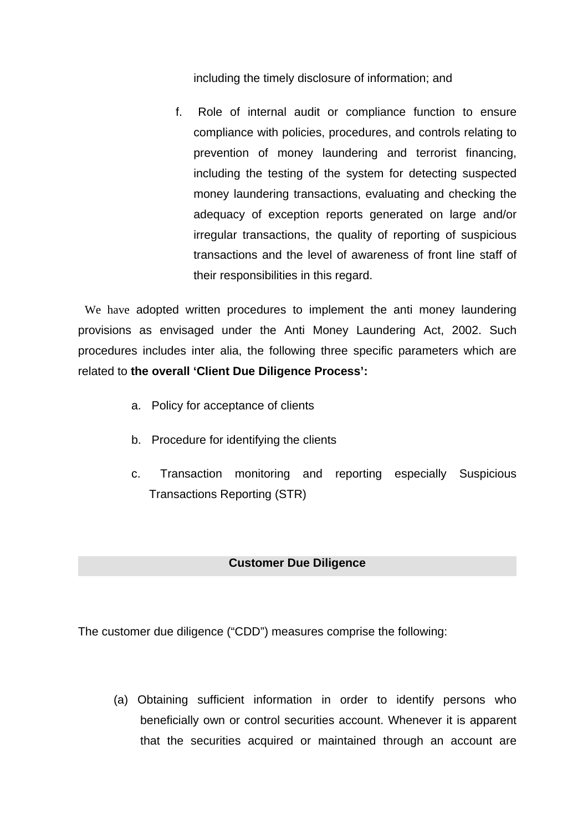including the timely disclosure of information; and

f. Role of internal audit or compliance function to ensure compliance with policies, procedures, and controls relating to prevention of money laundering and terrorist financing, including the testing of the system for detecting suspected money laundering transactions, evaluating and checking the adequacy of exception reports generated on large and/or irregular transactions, the quality of reporting of suspicious transactions and the level of awareness of front line staff of their responsibilities in this regard.

 We have adopted written procedures to implement the anti money laundering provisions as envisaged under the Anti Money Laundering Act, 2002. Such procedures includes inter alia, the following three specific parameters which are related to **the overall 'Client Due Diligence Process':**

- a. Policy for acceptance of clients
- b. Procedure for identifying the clients
- c. Transaction monitoring and reporting especially Suspicious Transactions Reporting (STR)

# **Customer Due Diligence**

The customer due diligence ("CDD") measures comprise the following:

(a) Obtaining sufficient information in order to identify persons who beneficially own or control securities account. Whenever it is apparent that the securities acquired or maintained through an account are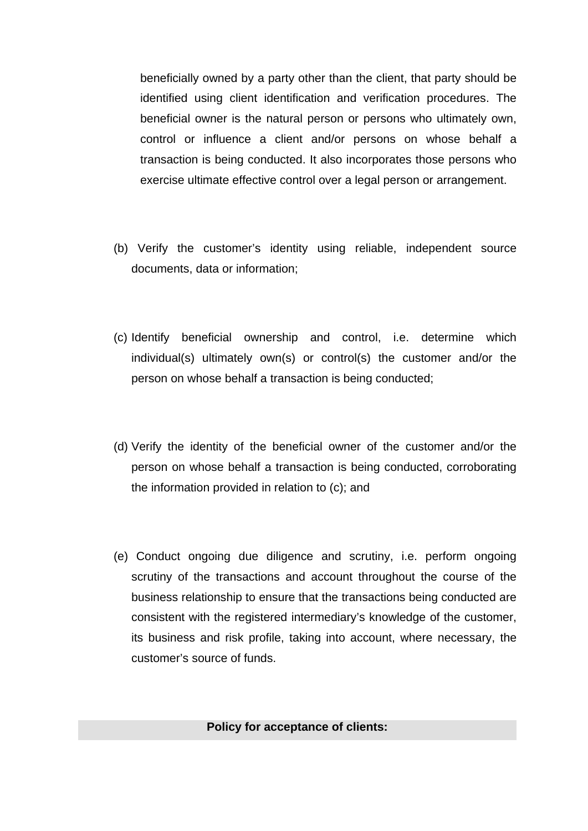beneficially owned by a party other than the client, that party should be identified using client identification and verification procedures. The beneficial owner is the natural person or persons who ultimately own, control or influence a client and/or persons on whose behalf a transaction is being conducted. It also incorporates those persons who exercise ultimate effective control over a legal person or arrangement.

- (b) Verify the customer's identity using reliable, independent source documents, data or information;
- (c) Identify beneficial ownership and control, i.e. determine which individual(s) ultimately own(s) or control(s) the customer and/or the person on whose behalf a transaction is being conducted;
- (d) Verify the identity of the beneficial owner of the customer and/or the person on whose behalf a transaction is being conducted, corroborating the information provided in relation to (c); and
- (e) Conduct ongoing due diligence and scrutiny, i.e. perform ongoing scrutiny of the transactions and account throughout the course of the business relationship to ensure that the transactions being conducted are consistent with the registered intermediary's knowledge of the customer, its business and risk profile, taking into account, where necessary, the customer's source of funds.

**Policy for acceptance of clients:**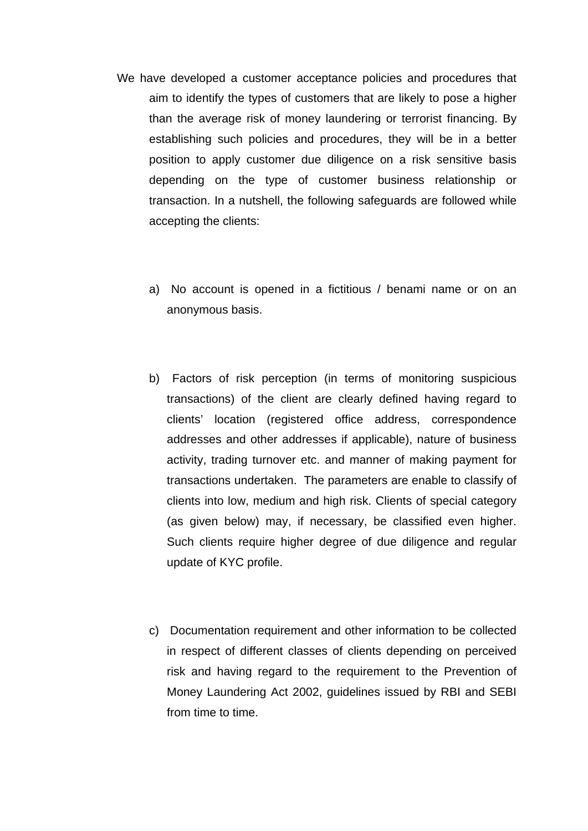- We have developed a customer acceptance policies and procedures that aim to identify the types of customers that are likely to pose a higher than the average risk of money laundering or terrorist financing. By establishing such policies and procedures, they will be in a better position to apply customer due diligence on a risk sensitive basis depending on the type of customer business relationship or transaction. In a nutshell, the following safeguards are followed while accepting the clients:
	- a) No account is opened in a fictitious / benami name or on an anonymous basis.
	- b) Factors of risk perception (in terms of monitoring suspicious transactions) of the client are clearly defined having regard to clients' location (registered office address, correspondence addresses and other addresses if applicable), nature of business activity, trading turnover etc. and manner of making payment for transactions undertaken. The parameters are enable to classify of clients into low, medium and high risk. Clients of special category (as given below) may, if necessary, be classified even higher. Such clients require higher degree of due diligence and regular update of KYC profile.
	- c) Documentation requirement and other information to be collected in respect of different classes of clients depending on perceived risk and having regard to the requirement to the Prevention of Money Laundering Act 2002, guidelines issued by RBI and SEBI from time to time.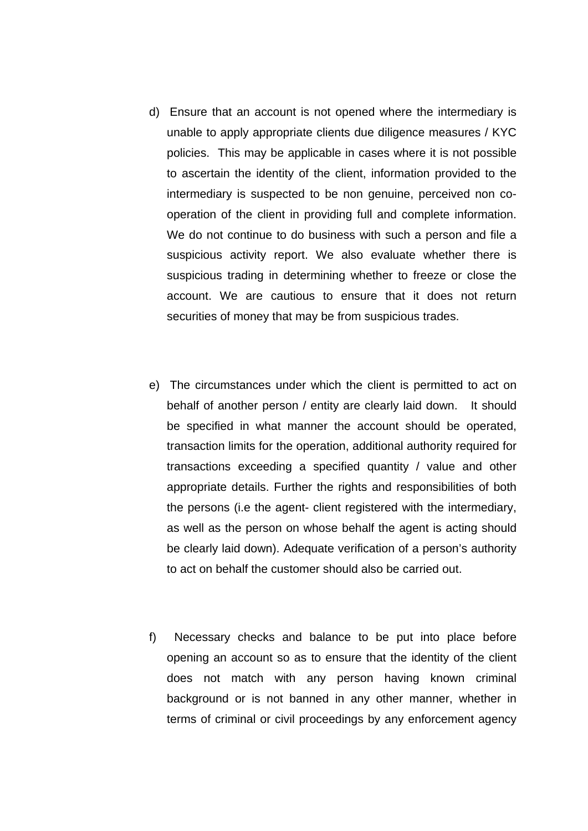- d) Ensure that an account is not opened where the intermediary is unable to apply appropriate clients due diligence measures / KYC policies. This may be applicable in cases where it is not possible to ascertain the identity of the client, information provided to the intermediary is suspected to be non genuine, perceived non cooperation of the client in providing full and complete information. We do not continue to do business with such a person and file a suspicious activity report. We also evaluate whether there is suspicious trading in determining whether to freeze or close the account. We are cautious to ensure that it does not return securities of money that may be from suspicious trades.
- e) The circumstances under which the client is permitted to act on behalf of another person / entity are clearly laid down. It should be specified in what manner the account should be operated, transaction limits for the operation, additional authority required for transactions exceeding a specified quantity / value and other appropriate details. Further the rights and responsibilities of both the persons (i.e the agent- client registered with the intermediary, as well as the person on whose behalf the agent is acting should be clearly laid down). Adequate verification of a person's authority to act on behalf the customer should also be carried out.
- f) Necessary checks and balance to be put into place before opening an account so as to ensure that the identity of the client does not match with any person having known criminal background or is not banned in any other manner, whether in terms of criminal or civil proceedings by any enforcement agency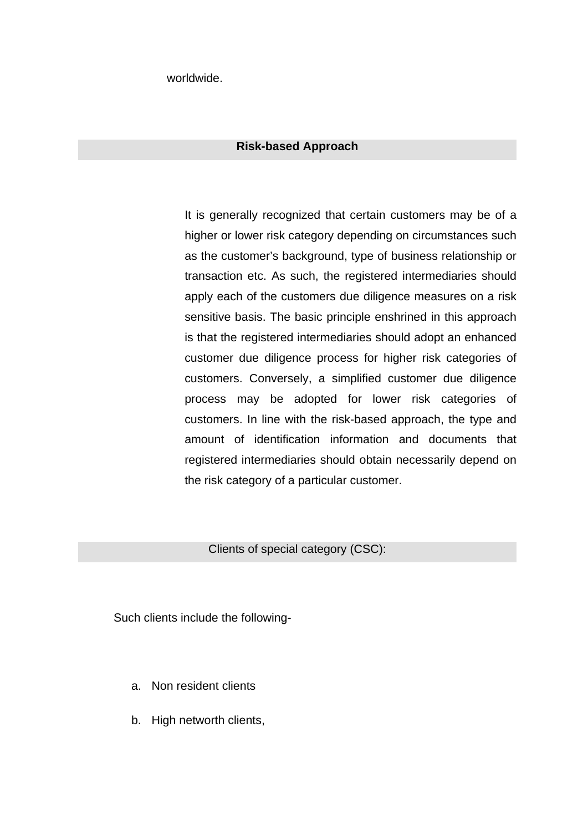worldwide.

## **Risk-based Approach**

 It is generally recognized that certain customers may be of a higher or lower risk category depending on circumstances such as the customer's background, type of business relationship or transaction etc. As such, the registered intermediaries should apply each of the customers due diligence measures on a risk sensitive basis. The basic principle enshrined in this approach is that the registered intermediaries should adopt an enhanced customer due diligence process for higher risk categories of customers. Conversely, a simplified customer due diligence process may be adopted for lower risk categories of customers. In line with the risk-based approach, the type and amount of identification information and documents that registered intermediaries should obtain necessarily depend on the risk category of a particular customer.

Clients of special category (CSC):

Such clients include the following-

- a. Non resident clients
- b. High networth clients,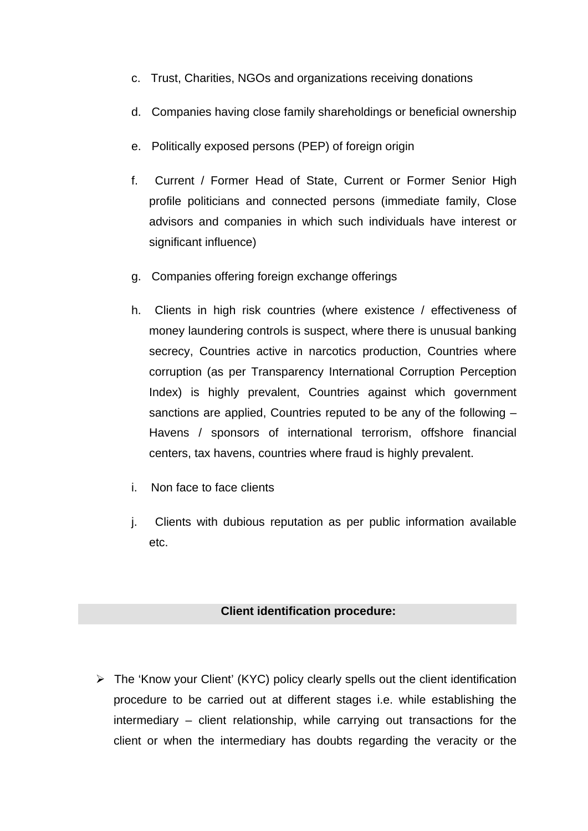- c. Trust, Charities, NGOs and organizations receiving donations
- d. Companies having close family shareholdings or beneficial ownership
- e. Politically exposed persons (PEP) of foreign origin
- f. Current / Former Head of State, Current or Former Senior High profile politicians and connected persons (immediate family, Close advisors and companies in which such individuals have interest or significant influence)
- g. Companies offering foreign exchange offerings
- h. Clients in high risk countries (where existence / effectiveness of money laundering controls is suspect, where there is unusual banking secrecy, Countries active in narcotics production, Countries where corruption (as per Transparency International Corruption Perception Index) is highly prevalent, Countries against which government sanctions are applied, Countries reputed to be any of the following – Havens / sponsors of international terrorism, offshore financial centers, tax havens, countries where fraud is highly prevalent.
- i. Non face to face clients
- j. Clients with dubious reputation as per public information available etc.

# **Client identification procedure:**

¾ The 'Know your Client' (KYC) policy clearly spells out the client identification procedure to be carried out at different stages i.e. while establishing the intermediary – client relationship, while carrying out transactions for the client or when the intermediary has doubts regarding the veracity or the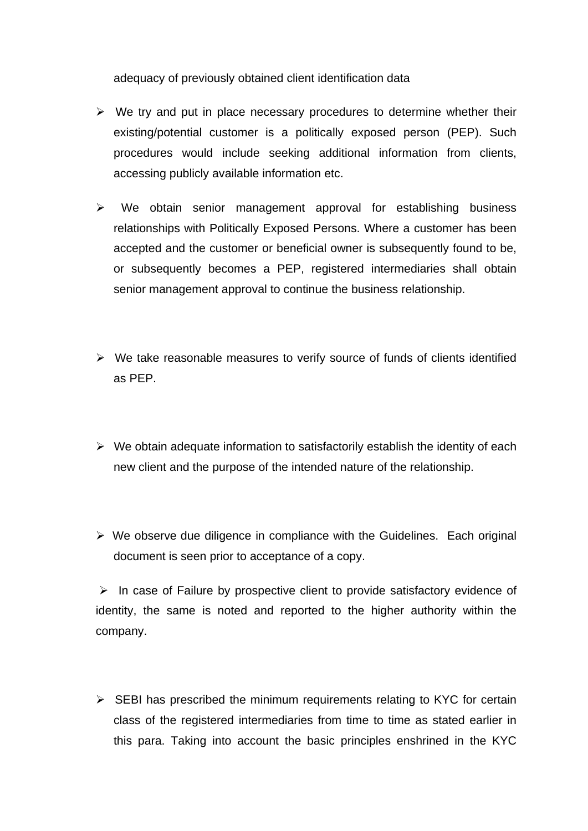adequacy of previously obtained client identification data

- $\triangleright$  We try and put in place necessary procedures to determine whether their existing/potential customer is a politically exposed person (PEP). Such procedures would include seeking additional information from clients, accessing publicly available information etc.
- $\triangleright$  We obtain senior management approval for establishing business relationships with Politically Exposed Persons. Where a customer has been accepted and the customer or beneficial owner is subsequently found to be, or subsequently becomes a PEP, registered intermediaries shall obtain senior management approval to continue the business relationship.
- $\triangleright$  We take reasonable measures to verify source of funds of clients identified as PEP.
- $\triangleright$  We obtain adequate information to satisfactorily establish the identity of each new client and the purpose of the intended nature of the relationship.
- $\triangleright$  We observe due diligence in compliance with the Guidelines. Each original document is seen prior to acceptance of a copy.

 $\triangleright$  In case of Failure by prospective client to provide satisfactory evidence of identity, the same is noted and reported to the higher authority within the company.

 $\triangleright$  SEBI has prescribed the minimum requirements relating to KYC for certain class of the registered intermediaries from time to time as stated earlier in this para. Taking into account the basic principles enshrined in the KYC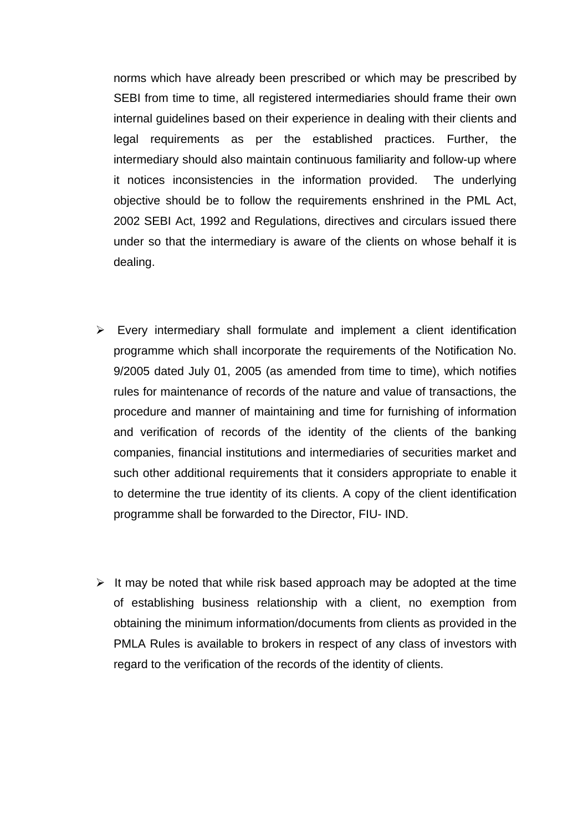norms which have already been prescribed or which may be prescribed by SEBI from time to time, all registered intermediaries should frame their own internal guidelines based on their experience in dealing with their clients and legal requirements as per the established practices. Further, the intermediary should also maintain continuous familiarity and follow-up where it notices inconsistencies in the information provided. The underlying objective should be to follow the requirements enshrined in the PML Act, 2002 SEBI Act, 1992 and Regulations, directives and circulars issued there under so that the intermediary is aware of the clients on whose behalf it is dealing.

- $\triangleright$  Every intermediary shall formulate and implement a client identification programme which shall incorporate the requirements of the Notification No. 9/2005 dated July 01, 2005 (as amended from time to time), which notifies rules for maintenance of records of the nature and value of transactions, the procedure and manner of maintaining and time for furnishing of information and verification of records of the identity of the clients of the banking companies, financial institutions and intermediaries of securities market and such other additional requirements that it considers appropriate to enable it to determine the true identity of its clients. A copy of the client identification programme shall be forwarded to the Director, FIU- IND.
- $\triangleright$  It may be noted that while risk based approach may be adopted at the time of establishing business relationship with a client, no exemption from obtaining the minimum information/documents from clients as provided in the PMLA Rules is available to brokers in respect of any class of investors with regard to the verification of the records of the identity of clients.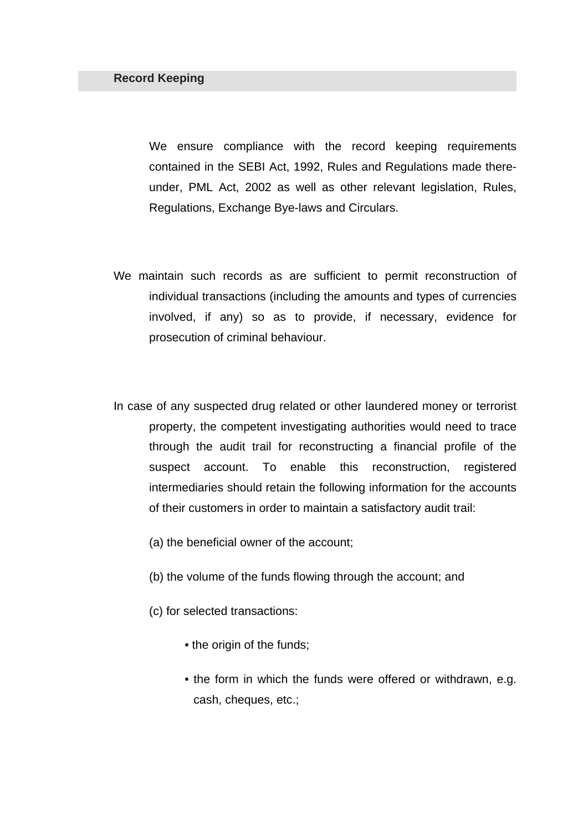We ensure compliance with the record keeping requirements contained in the SEBI Act, 1992, Rules and Regulations made thereunder, PML Act, 2002 as well as other relevant legislation, Rules, Regulations, Exchange Bye-laws and Circulars.

- We maintain such records as are sufficient to permit reconstruction of individual transactions (including the amounts and types of currencies involved, if any) so as to provide, if necessary, evidence for prosecution of criminal behaviour.
- In case of any suspected drug related or other laundered money or terrorist property, the competent investigating authorities would need to trace through the audit trail for reconstructing a financial profile of the suspect account. To enable this reconstruction, registered intermediaries should retain the following information for the accounts of their customers in order to maintain a satisfactory audit trail:
	- (a) the beneficial owner of the account;
	- (b) the volume of the funds flowing through the account; and
	- (c) for selected transactions:
		- the origin of the funds:
		- the form in which the funds were offered or withdrawn, e.g. cash, cheques, etc.;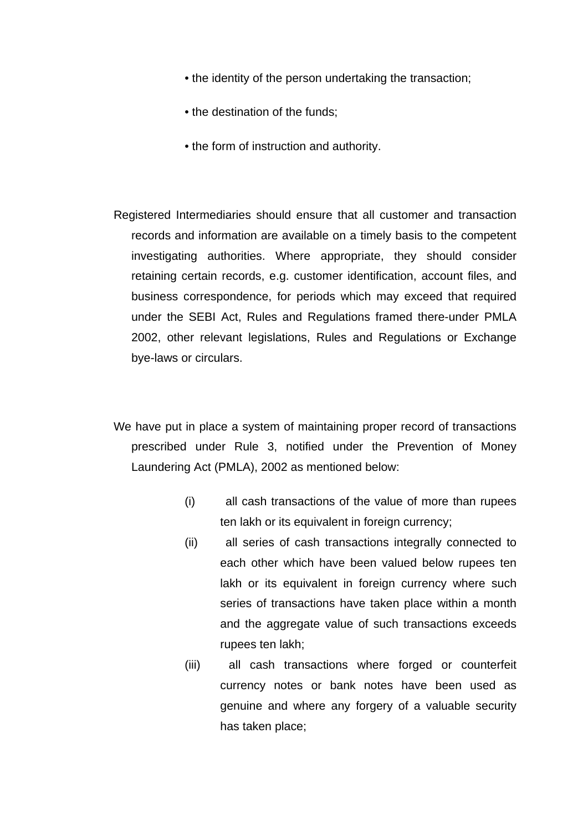- the identity of the person undertaking the transaction;
- the destination of the funds;
- the form of instruction and authority.

Registered Intermediaries should ensure that all customer and transaction records and information are available on a timely basis to the competent investigating authorities. Where appropriate, they should consider retaining certain records, e.g. customer identification, account files, and business correspondence, for periods which may exceed that required under the SEBI Act, Rules and Regulations framed there-under PMLA 2002, other relevant legislations, Rules and Regulations or Exchange bye-laws or circulars.

We have put in place a system of maintaining proper record of transactions prescribed under Rule 3, notified under the Prevention of Money Laundering Act (PMLA), 2002 as mentioned below:

- (i) all cash transactions of the value of more than rupees ten lakh or its equivalent in foreign currency;
- (ii) all series of cash transactions integrally connected to each other which have been valued below rupees ten lakh or its equivalent in foreign currency where such series of transactions have taken place within a month and the aggregate value of such transactions exceeds rupees ten lakh;
- (iii) all cash transactions where forged or counterfeit currency notes or bank notes have been used as genuine and where any forgery of a valuable security has taken place;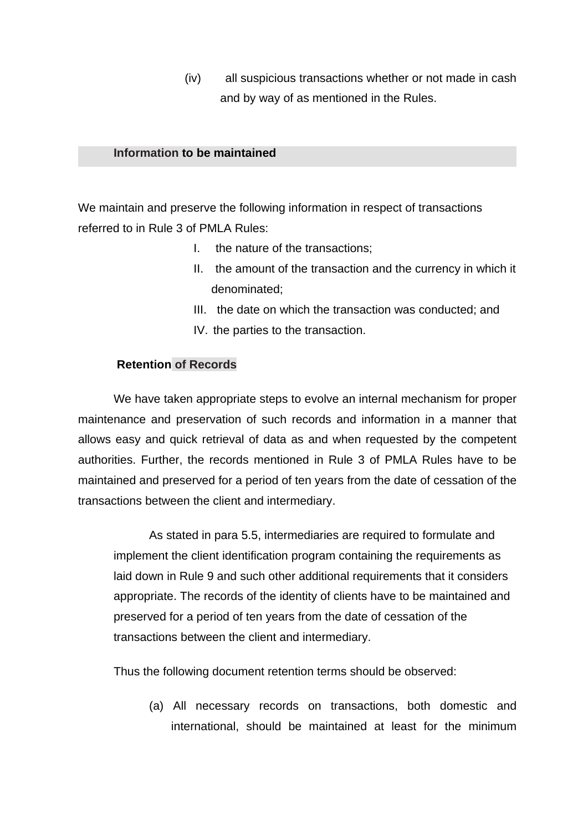(iv) all suspicious transactions whether or not made in cash and by way of as mentioned in the Rules.

## **Information to be maintained**

We maintain and preserve the following information in respect of transactions referred to in Rule 3 of PMLA Rules:

- I. the nature of the transactions;
- II. the amount of the transaction and the currency in which it denominated;
- III. the date on which the transaction was conducted; and
- IV. the parties to the transaction.

# **Retention of Records**

 We have taken appropriate steps to evolve an internal mechanism for proper maintenance and preservation of such records and information in a manner that allows easy and quick retrieval of data as and when requested by the competent authorities. Further, the records mentioned in Rule 3 of PMLA Rules have to be maintained and preserved for a period of ten years from the date of cessation of the transactions between the client and intermediary.

 As stated in para 5.5, intermediaries are required to formulate and implement the client identification program containing the requirements as laid down in Rule 9 and such other additional requirements that it considers appropriate. The records of the identity of clients have to be maintained and preserved for a period of ten years from the date of cessation of the transactions between the client and intermediary.

Thus the following document retention terms should be observed:

(a) All necessary records on transactions, both domestic and international, should be maintained at least for the minimum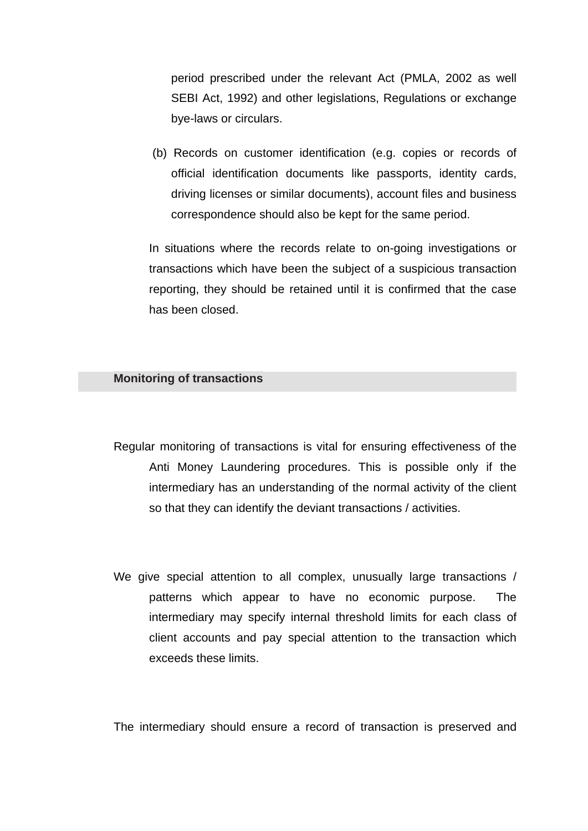period prescribed under the relevant Act (PMLA, 2002 as well SEBI Act, 1992) and other legislations, Regulations or exchange bye-laws or circulars.

 (b) Records on customer identification (e.g. copies or records of official identification documents like passports, identity cards, driving licenses or similar documents), account files and business correspondence should also be kept for the same period.

 In situations where the records relate to on-going investigations or transactions which have been the subject of a suspicious transaction reporting, they should be retained until it is confirmed that the case has been closed.

#### **Monitoring of transactions**

- Regular monitoring of transactions is vital for ensuring effectiveness of the Anti Money Laundering procedures. This is possible only if the intermediary has an understanding of the normal activity of the client so that they can identify the deviant transactions / activities.
- We give special attention to all complex, unusually large transactions / patterns which appear to have no economic purpose. The intermediary may specify internal threshold limits for each class of client accounts and pay special attention to the transaction which exceeds these limits.

The intermediary should ensure a record of transaction is preserved and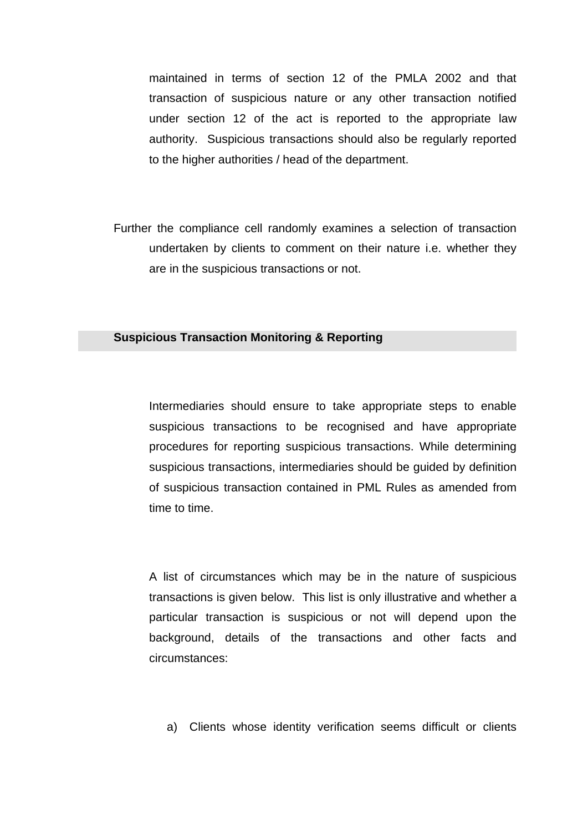maintained in terms of section 12 of the PMLA 2002 and that transaction of suspicious nature or any other transaction notified under section 12 of the act is reported to the appropriate law authority. Suspicious transactions should also be regularly reported to the higher authorities / head of the department.

Further the compliance cell randomly examines a selection of transaction undertaken by clients to comment on their nature i.e. whether they are in the suspicious transactions or not.

#### **Suspicious Transaction Monitoring & Reporting**

 Intermediaries should ensure to take appropriate steps to enable suspicious transactions to be recognised and have appropriate procedures for reporting suspicious transactions. While determining suspicious transactions, intermediaries should be guided by definition of suspicious transaction contained in PML Rules as amended from time to time.

 A list of circumstances which may be in the nature of suspicious transactions is given below. This list is only illustrative and whether a particular transaction is suspicious or not will depend upon the background, details of the transactions and other facts and circumstances:

a) Clients whose identity verification seems difficult or clients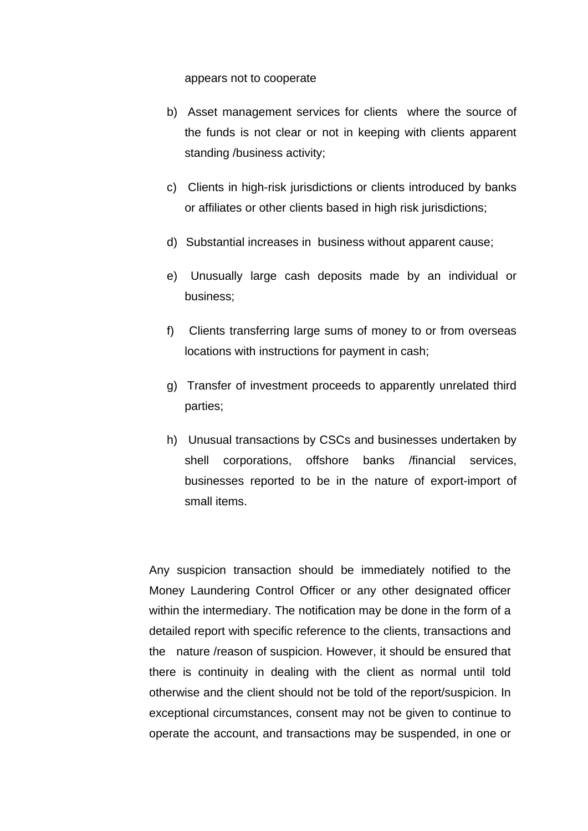appears not to cooperate

- b) Asset management services for clients where the source of the funds is not clear or not in keeping with clients apparent standing /business activity;
- c) Clients in high-risk jurisdictions or clients introduced by banks or affiliates or other clients based in high risk jurisdictions;
- d) Substantial increases in business without apparent cause;
- e) Unusually large cash deposits made by an individual or business;
- f) Clients transferring large sums of money to or from overseas locations with instructions for payment in cash;
- g) Transfer of investment proceeds to apparently unrelated third parties;
- h) Unusual transactions by CSCs and businesses undertaken by shell corporations, offshore banks /financial services, businesses reported to be in the nature of export-import of small items.

 Any suspicion transaction should be immediately notified to the Money Laundering Control Officer or any other designated officer within the intermediary. The notification may be done in the form of a detailed report with specific reference to the clients, transactions and the nature /reason of suspicion. However, it should be ensured that there is continuity in dealing with the client as normal until told otherwise and the client should not be told of the report/suspicion. In exceptional circumstances, consent may not be given to continue to operate the account, and transactions may be suspended, in one or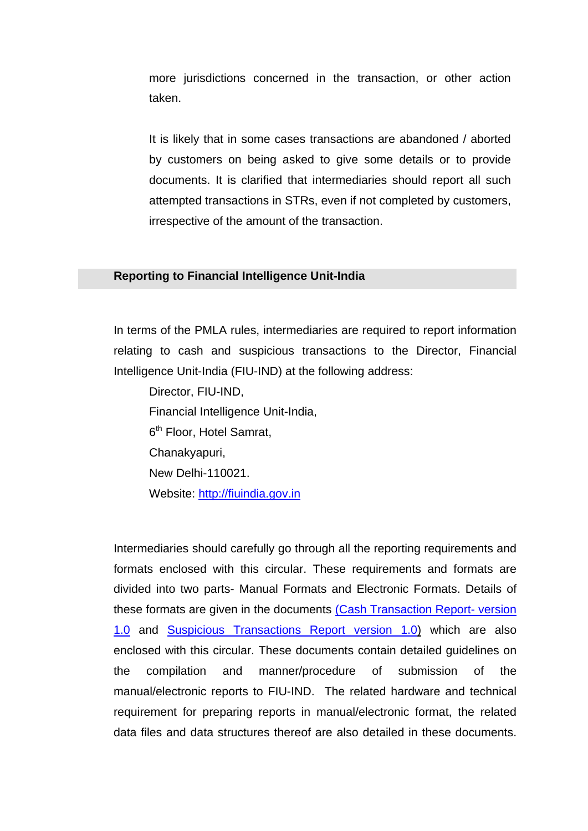more jurisdictions concerned in the transaction, or other action taken.

 It is likely that in some cases transactions are abandoned / aborted by customers on being asked to give some details or to provide documents. It is clarified that intermediaries should report all such attempted transactions in STRs, even if not completed by customers, irrespective of the amount of the transaction.

## **Reporting to Financial Intelligence Unit-India**

 In terms of the PMLA rules, intermediaries are required to report information relating to cash and suspicious transactions to the Director, Financial Intelligence Unit-India (FIU-IND) at the following address:

Director, FIU-IND, Financial Intelligence Unit-India, 6<sup>th</sup> Floor, Hotel Samrat, Chanakyapuri, New Delhi-110021. Website: [http://fiuindia.gov.in](http://fiuindia.gov.in/)

 Intermediaries should carefully go through all the reporting requirements and formats enclosed with this circular. These requirements and formats are divided into two parts- Manual Formats and Electronic Formats. Details of these formats are given in the documents [\(Cash Transaction Report- version](http://www.sebi.gov.in/circulars/2008/cash.html)  [1.0](http://www.sebi.gov.in/circulars/2008/cash.html) and [Suspicious Transactions Report version 1.0\)](http://www.sebi.gov.in/circulars/2008/suspicious.html) which are also enclosed with this circular. These documents contain detailed guidelines on the compilation and manner/procedure of submission of the manual/electronic reports to FIU-IND. The related hardware and technical requirement for preparing reports in manual/electronic format, the related data files and data structures thereof are also detailed in these documents.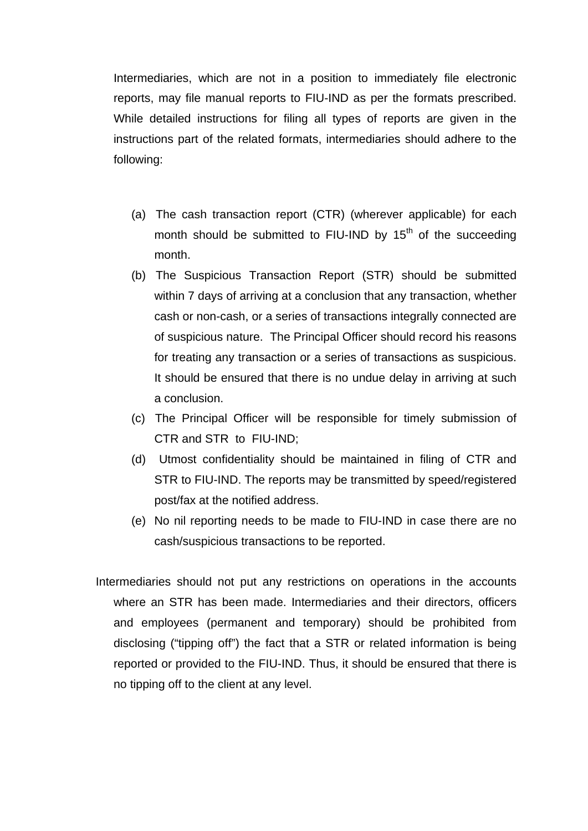Intermediaries, which are not in a position to immediately file electronic reports, may file manual reports to FIU-IND as per the formats prescribed. While detailed instructions for filing all types of reports are given in the instructions part of the related formats, intermediaries should adhere to the following:

- (a) The cash transaction report (CTR) (wherever applicable) for each month should be submitted to FIU-IND by  $15<sup>th</sup>$  of the succeeding month.
- (b) The Suspicious Transaction Report (STR) should be submitted within 7 days of arriving at a conclusion that any transaction, whether cash or non-cash, or a series of transactions integrally connected are of suspicious nature. The Principal Officer should record his reasons for treating any transaction or a series of transactions as suspicious. It should be ensured that there is no undue delay in arriving at such a conclusion.
- (c) The Principal Officer will be responsible for timely submission of CTR and STR to FIU-IND;
- (d) Utmost confidentiality should be maintained in filing of CTR and STR to FIU-IND. The reports may be transmitted by speed/registered post/fax at the notified address.
- (e) No nil reporting needs to be made to FIU-IND in case there are no cash/suspicious transactions to be reported.
- Intermediaries should not put any restrictions on operations in the accounts where an STR has been made. Intermediaries and their directors, officers and employees (permanent and temporary) should be prohibited from disclosing ("tipping off") the fact that a STR or related information is being reported or provided to the FIU-IND. Thus, it should be ensured that there is no tipping off to the client at any level.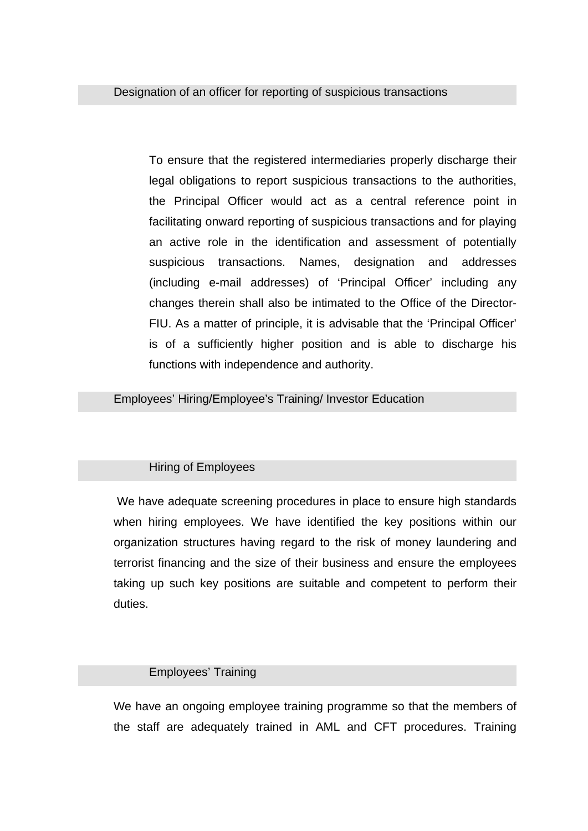To ensure that the registered intermediaries properly discharge their legal obligations to report suspicious transactions to the authorities, the Principal Officer would act as a central reference point in facilitating onward reporting of suspicious transactions and for playing an active role in the identification and assessment of potentially suspicious transactions. Names, designation and addresses (including e-mail addresses) of 'Principal Officer' including any changes therein shall also be intimated to the Office of the Director-FIU. As a matter of principle, it is advisable that the 'Principal Officer' is of a sufficiently higher position and is able to discharge his functions with independence and authority.

Employees' Hiring/Employee's Training/ Investor Education

# Hiring of Employees

 We have adequate screening procedures in place to ensure high standards when hiring employees. We have identified the key positions within our organization structures having regard to the risk of money laundering and terrorist financing and the size of their business and ensure the employees taking up such key positions are suitable and competent to perform their duties.

# Employees' Training

We have an ongoing employee training programme so that the members of the staff are adequately trained in AML and CFT procedures. Training